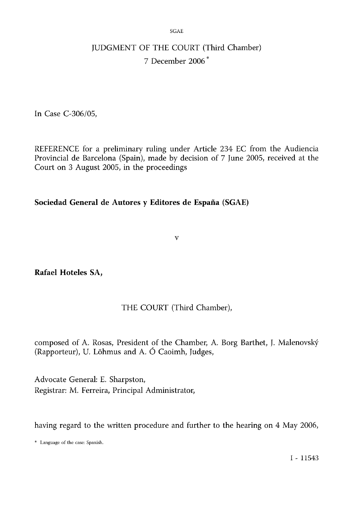SGAE

# JUDGMENT OF THE COURT (Third Chamber) 7 December 2006\*

In Case C-306/05,

REFERENCE for a preliminary ruling under Article 234 EC from the Audiencia Provincial de Barcelona (Spain), made by decision of 7 June 2005, received at the Court on 3 August 2005, in the proceedings

## Sociedad General de Autores y Editores de España (SGAE)

v

Rafael Hoteles SA,

## THE COURT (Third Chamber),

composed of A. Rosas, President of the Chamber, A. Borg Barthet, J. Malenovský (Rapporteur), U. Lõhmus and A. Ó Caoimh, Judges,

Advocate General: E. Sharpston, Registrar: M. Ferreira, Principal Administrator,

having regard to the written procedure and further to the hearing on 4 May 2006,

\* Language of the case: Spanish.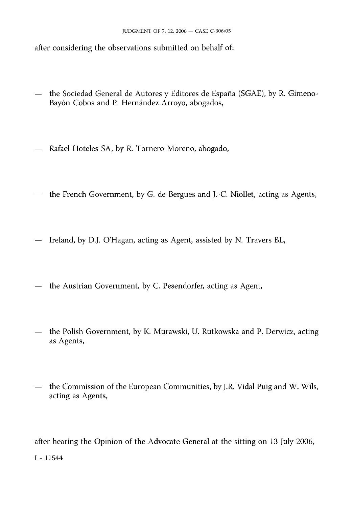after considering the observations submitted on behalf of:

- the Sociedad General de Autores y Editores de España (SGAE), by R. Gimeno-Bayón Cobos and P. Hernández Arroyo, abogados,
- Rafael Hoteles SA, by R. Tornero Moreno, abogado,
- the French Government, by G. de Bergues and J.-C. Niollet, acting as Agents,
- Ireland, by D.J. O'Hagan, acting as Agent, assisted by N. Travers BL,
- the Austrian Government, by C. Pesendorfer, acting as Agent,
- the Polish Government, by K. Murawski, U. Rutkowska and P. Derwicz, acting as Agents,
- the Commission of the European Communities, by J.R. Vidal Puig and W. Wils, acting as Agents,

after hearing the Opinion of the Advocate General at the sitting on 13 July 2006,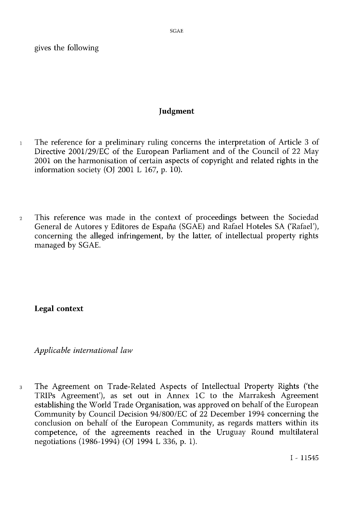gives the following

#### Judgment

- <sup>1</sup> The reference for a preliminary ruling concerns the interpretation of Article 3 of Directive 2001/29/EC of the European Parliament and of the Council of 22 May 2001 on the harmonisation of certain aspects of copyright and related rights in the information society (OJ 2001 L 167, p. 10).
- <sup>2</sup> This reference was made in the context of proceedings between the Sociedad General de Autores y Editores de España (SGAE) and Rafael Hoteles SA ('Rafael'), concerning the alleged infringement, by the latter, of intellectual property rights managed by SGAE.

Legal context

*Applicable international law*

<sup>3</sup> The Agreement on Trade-Related Aspects of Intellectual Property Rights ('the TRIPs Agreement'), as set out in Annex 1C to the Marrakesh Agreement establishing the World Trade Organisation, was approved on behalf of the European Community by Council Decision 94/800/EC of 22 December 1994 concerning the conclusion on behalf of the European Community, as regards matters within its competence, of the agreements reached in the Uruguay Round multilateral negotiations (1986-1994) (OJ 1994 L 336, p. 1).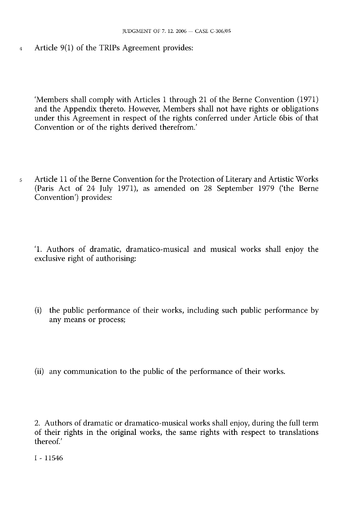<sup>4</sup> Article 9(1) of the TRIPs Agreement provides:

'Members shall comply with Articles 1 through 21 of the Berne Convention (1971) and the Appendix thereto. However, Members shall not have rights or obligations under this Agreement in respect of the rights conferred under Article 6bis of that Convention or of the rights derived therefrom.'

<sup>5</sup> Article 11 of the Berne Convention for the Protection of Literary and Artistic Works (Paris Act of 24 July 1971), as amended on 28 September 1979 ('the Berne Convention') provides:

'1. Authors of dramatic, dramatico-musical and musical works shall enjoy the exclusive right of authorising:

- (i) the public performance of their works, including such public performance by any means or process;
- (ii) any communication to the public of the performance of their works.

<sup>2.</sup> Authors of dramatic or dramatico-musical works shall enjoy, during the full term of their rights in the original works, the same rights with respect to translations thereof.'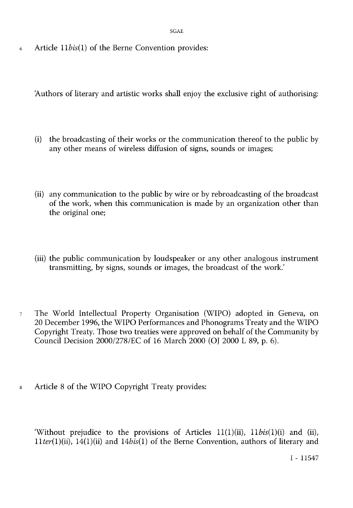SGAE

<sup>6</sup> Article 11*bis*(1) of the Berne Convention provides:

'Authors of literary and artistic works shall enjoy the exclusive right of authorising:

- (i) the broadcasting of their works or the communication thereof to the public by any other means of wireless diffusion of signs, sounds or images;
- (ii) any communication to the public by wire or by rebroadcasting of the broadcast of the work, when this communication is made by an organization other than the original one;
- (iii) the public communication by loudspeaker or any other analogous instrument transmitting, by signs, sounds or images, the broadcast of the work.'
- <sup>7</sup> The World Intellectual Property Organisation (WIPO) adopted in Geneva, on 20 December 1996, the WIPO Performances and Phonograms Treaty and the WIPO Copyright Treaty. Those two treaties were approved on behalf of the Community by Council Decision 2000/278/EC of 16 March 2000 (OJ 2000 L 89, p. 6).
- <sup>8</sup> Article 8 of the WIPO Copyright Treaty provides:

'Without prejudice to the provisions of Articles 11(1)(ii), 11*bis*(1)(i) and (ii), 11*ter*(1)(ii), 14(1)(ii) and 14*bis*(1) of the Berne Convention, authors of literary and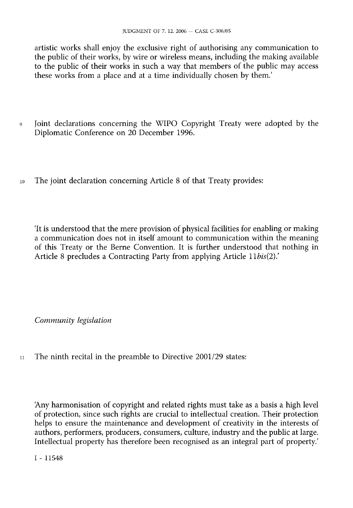artistic works shall enjoy the exclusive right of authorising any communication to the public of their works, by wire or wireless means, including the making available to the public of their works in such a way that members of the public may access these works from a place and at a time individually chosen by them.'

- <sup>9</sup> Joint declarations concerning the WIPO Copyright Treaty were adopted by the Diplomatic Conference on 20 December 1996.
- <sup>10</sup> The joint declaration concerning Article 8 of that Treaty provides:

'It is understood that the mere provision of physical facilities for enabling or making a communication does not in itself amount to communication within the meaning of this Treaty or the Berne Convention. It is further understood that nothing in Article 8 precludes a Contracting Party from applying Article 11*bis*(2).'

*Community legislation*

<sup>11</sup> The ninth recital in the preamble to Directive 2001/29 states:

'Any harmonisation of copyright and related rights must take as a basis a high level of protection, since such rights are crucial to intellectual creation. Their protection helps to ensure the maintenance and development of creativity in the interests of authors, performers, producers, consumers, culture, industry and the public at large. Intellectual property has therefore been recognised as an integral part of property.'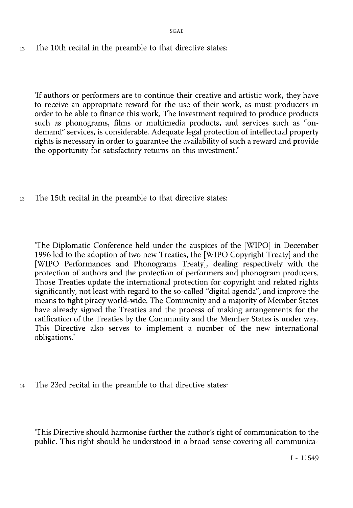SGAE

 $12$  The 10th recital in the preamble to that directive states:

'If authors or performers are to continue their creative and artistic work, they have to receive an appropriate reward for the use of their work, as must producers in order to be able to finance this work. The investment required to produce products such as phonograms, films or multimedia products, and services such as "ondemand" services, is considerable. Adequate legal protection of intellectual property rights is necessary in order to guarantee the availability of such a reward and provide the opportunity for satisfactory returns on this investment.'

<sup>13</sup> The 15th recital in the preamble to that directive states:

'The Diplomatic Conference held under the auspices of the [WIPO] in December 1996 led to the adoption of two new Treaties, the [WIPO Copyright Treaty] and the [WIPO Performances and Phonograms Treaty], dealing respectively with the protection of authors and the protection of performers and phonogram producers. Those Treaties update the international protection for copyright and related rights significantly, not least with regard to the so-called "digital agenda", and improve the means to fight piracy world-wide. The Community and a majority of Member States have already signed the Treaties and the process of making arrangements for the ratification of the Treaties by the Community and the Member States is under way. This Directive also serves to implement a number of the new international obligations.'

<sup>14</sup> The 23rd recital in the preamble to that directive states:

'This Directive should harmonise further the author's right of communication to the public. This right should be understood in a broad sense covering all communica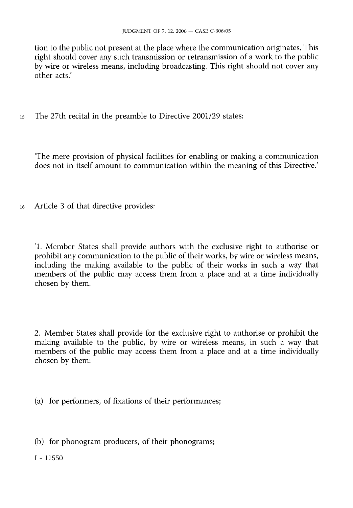tion to the public not present at the place where the communication originates. This right should cover any such transmission or retransmission of a work to the public by wire or wireless means, including broadcasting. This right should not cover any other acts.'

<sup>15</sup> The 27th recital in the preamble to Directive 2001/29 states:

'The mere provision of physical facilities for enabling or making a communication does not in itself amount to communication within the meaning of this Directive.'

<sup>16</sup> Article 3 of that directive provides:

'1. Member States shall provide authors with the exclusive right to authorise or prohibit any communication to the public of their works, by wire or wireless means, including the making available to the public of their works in such a way that members of the public may access them from a place and at a time individually chosen by them.

2. Member States shall provide for the exclusive right to authorise or prohibit the making available to the public, by wire or wireless means, in such a way that members of the public may access them from a place and at a time individually chosen by them:

(a) for performers, of fixations of their performances;

(b) for phonogram producers, of their phonograms;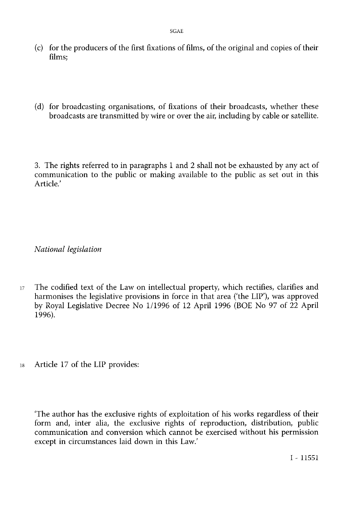- (c) for the producers of the first fixations of films, of the original and copies of their films;
- (d) for broadcasting organisations, of fixations of their broadcasts, whether these broadcasts are transmitted by wire or over the air, including by cable or satellite.

3. The rights referred to in paragraphs 1 and 2 shall not be exhausted by any act of communication to the public or making available to the public as set out in this Article.'

*National legislation*

- <sup>17</sup> The codified text of the Law on intellectual property, which rectifies, clarifies and harmonises the legislative provisions in force in that area ('the LIP'), was approved by Royal Legislative Decree No 1/1996 of 12 April 1996 (BOE No 97 of 22 April 1996).
- <sup>18</sup> Article 17 of the LIP provides:

'The author has the exclusive rights of exploitation of his works regardless of their form and, inter alia, the exclusive rights of reproduction, distribution, public communication and conversion which cannot be exercised without his permission except in circumstances laid down in this Law.'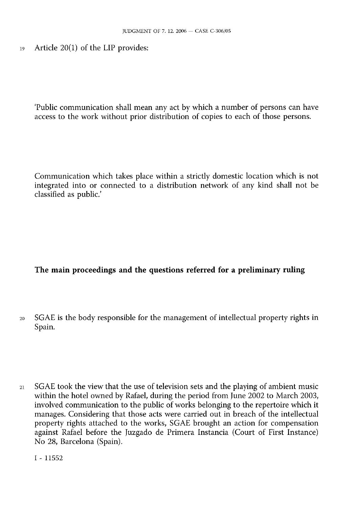<sup>19</sup> Article 20(1) of the LIP provides:

'Public communication shall mean any act by which a number of persons can have access to the work without prior distribution of copies to each of those persons.

Communication which takes place within a strictly domestic location which is not integrated into or connected to a distribution network of any kind shall not be classified as public.'

## The main proceedings and the questions referred for a preliminary ruling

- <sup>20</sup> SGAE is the body responsible for the management of intellectual property rights in Spain.
- <sup>21</sup> SGAE took the view that the use of television sets and the playing of ambient music within the hotel owned by Rafael, during the period from June 2002 to March 2003, involved communication to the public of works belonging to the repertoire which it manages. Considering that those acts were carried out in breach of the intellectual property rights attached to the works, SGAE brought an action for compensation against Rafael before the Juzgado de Primera Instancia (Court of First Instance) No 28, Barcelona (Spain).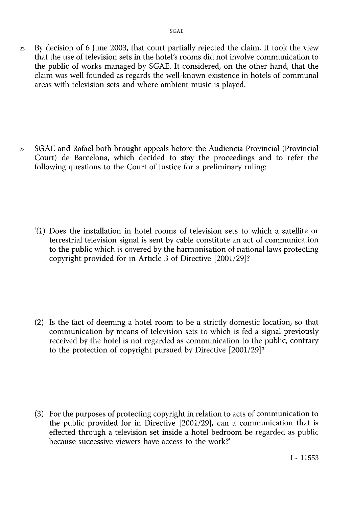<sup>22</sup> By decision of 6 June 2003, that court partially rejected the claim. It took the view that the use of television sets in the hotel's rooms did not involve communication to the public of works managed by SGAE. It considered, on the other hand, that the claim was well founded as regards the well-known existence in hotels of communal areas with television sets and where ambient music is played.

<sup>23</sup> SGAE and Rafael both brought appeals before the Audiencia Provincial (Provincial Court) de Barcelona, which decided to stay the proceedings and to refer the following questions to the Court of Justice for a preliminary ruling:

'(1) Does the installation in hotel rooms of television sets to which a satellite or terrestrial television signal is sent by cable constitute an act of communication to the public which is covered by the harmonisation of national laws protecting copyright provided for in Article 3 of Directive [2001/29]?

(2) Is the fact of deeming a hotel room to be a strictly domestic location, so that communication by means of television sets to which is fed a signal previously received by the hotel is not regarded as communication to the public, contrary to the protection of copyright pursued by Directive [2001/29]?

(3) For the purposes of protecting copyright in relation to acts of communication to the public provided for in Directive [2001/29], can a communication that is effected through a television set inside a hotel bedroom be regarded as public because successive viewers have access to the work?'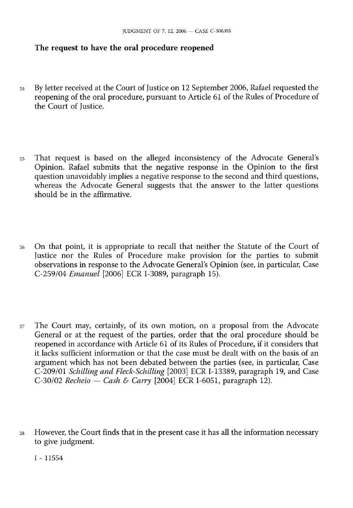#### The request to have the oral procedure reopened

- <sup>24</sup> By letter received at the Court of Justice on 12 September 2006, Rafael requested the reopening of the oral procedure, pursuant to Article 61 of the Rules of Procedure of the Court of Iustice.
- <sup>25</sup> That request is based on the alleged inconsistency of the Advocate General's Opinion. Rafael submits that the negative response in the Opinion to the first question unavoidably implies a negative response to the second and third questions, whereas the Advocate General suggests that the answer to the latter questions should be in the affirmative.
- <sup>26</sup> On that point, it is appropriate to recall that neither the Statute of the Court of Justice nor the Rules of Procedure make provision for the parties to submit observations in response to the Advocate General's Opinion (see, in particular, Case C-259/04 *Emanuel* [2006] ECR I-3089, paragraph 15).
- <sup>27</sup> The Court may, certainly, of its own motion, on a proposal from the Advocate General or at the request of the parties, order that the oral procedure should be reopened in accordance with Article 61 of its Rules of Procedure, if it considers that it lacks sufficient information or that the case must be dealt with on the basis of an argument which has not been debated between the parties (see, in particular, Case C-209/01 *Schilling and Fleck-Schilling* [2003] ECR I-13389, paragraph 19, and Case C-30/02 *Recheio — Cash & Carry* [2004] ECR I-6051, paragraph 12).
- <sup>28</sup> However, the Court finds that in the present case it has all the information necessary to give judgment.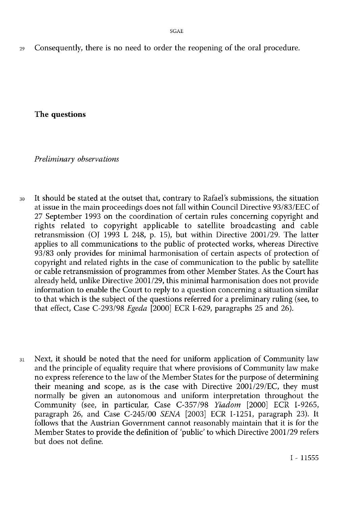<sup>29</sup> Consequently, there is no need to order the reopening of the oral procedure.

The questions

*Preliminary observations*

- <sup>30</sup> It should be stated at the outset that, contrary to Rafael's submissions, the situation at issue in the main proceedings does not fall within Council Directive 93/83/EEC of 27 September 1993 on the coordination of certain rules concerning copyright and rights related to copyright applicable to satellite broadcasting and cable retransmission (OJ 1993 L 248, p. 15), but within Directive 2001/29. The latter applies to all communications to the public of protected works, whereas Directive 93/83 only provides for minimal harmonisation of certain aspects of protection of copyright and related rights in the case of communication to the public by satellite or cable retransmission of programmes from other Member States. As the Court has already held, unlike Directive 2001/29, this minimal harmonisation does not provide information to enable the Court to reply to a question concerning a situation similar to that which is the subject of the questions referred for a preliminary ruling (see, to that effect, Case C-293/98 *Egeda* [2000] ECR I-629, paragraphs 25 and 26).
- <sup>31</sup> Next, it should be noted that the need for uniform application of Community law and the principle of equality require that where provisions of Community law make no express reference to the law of the Member States for the purpose of determining their meaning and scope, as is the case with Directive 2001/29/EC, they must normally be given an autonomous and uniform interpretation throughout the Community (see, in particular, Case C-357/98 *Yiadom* [2000] ECR I-9265, paragraph 26, and Case C-245/00 *SENA* [2003] ECR I-1251, paragraph 23). It follows that the Austrian Government cannot reasonably maintain that it is for the Member States to provide the definition of 'public' to which Directive 2001/29 refers but does not define.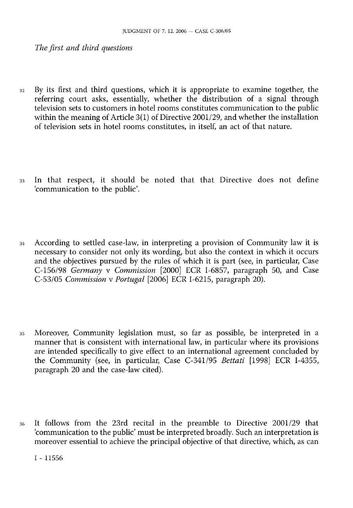*The first and third questions*

- <sup>32</sup> By its first and third questions, which it is appropriate to examine together, the referring court asks, essentially, whether the distribution of a signal through television sets to customers in hotel rooms constitutes communication to the public within the meaning of Article 3(1) of Directive 2001/29, and whether the installation of television sets in hotel rooms constitutes, in itself, an act of that nature.
- <sup>33</sup> In that respect, it should be noted that that Directive does not define 'communication to the public'.
- <sup>34</sup> According to settled case-law, in interpreting <sup>a</sup> provision of Community law it is necessary to consider not only its wording, but also the context in which it occurs and the objectives pursued by the rules of which it is part (see, in particular, Case C-156/98 *Germany* v *Commission* [2000] ECR I-6857, paragraph 50, and Case C-53/05 *Commission* v *Portugal* [2006] ECR I-6215, paragraph 20).
- <sup>35</sup> Moreover, Community legislation must, so far as possible, be interpreted in a manner that is consistent with international law, in particular where its provisions are intended specifically to give effect to an international agreement concluded by the Community (see, in particular, Case C-341/95 *Bettati* [1998] ECR I-4355, paragraph 20 and the case-law cited).
- <sup>36</sup> It follows from the 23rd recital in the preamble to Directive 2001/29 that 'communication to the public' must be interpreted broadly. Such an interpretation is moreover essential to achieve the principal objective of that directive, which, as can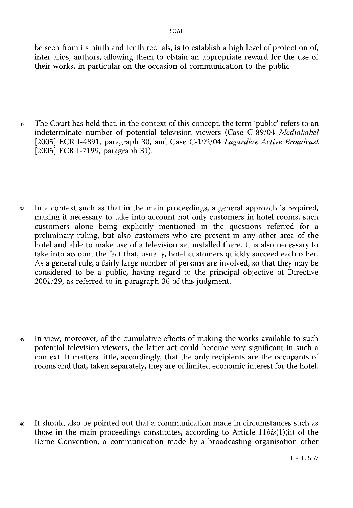be seen from its ninth and tenth recitals, is to establish a high level of protection of, inter alios, authors, allowing them to obtain an appropriate reward for the use of their works, in particular on the occasion of communication to the public.

- <sup>37</sup> The Court has held that, in the context of this concept, the term 'public' refers to an indeterminate number of potential television viewers (Case C-89/04 *Mediakabel* [2005] ECR I-4891, paragraph 30, and Case C-192/04 *Lagardère Active Broadcast* [2005] ECR I-7199, paragraph 31).
- <sup>38</sup> In a context such as that in the main proceedings, a general approach is required, making it necessary to take into account not only customers in hotel rooms, such customers alone being explicitly mentioned in the questions referred for a preliminary ruling, but also customers who are present in any other area of the hotel and able to make use of <sup>a</sup> television set installed there. It is also necessary to take into account the fact that, usually, hotel customers quickly succeed each other. As a general rule, a fairly large number of persons are involved, so that they may be considered to be a public, having regard to the principal objective of Directive 2001/29, as referred to in paragraph 36 of this judgment.
- <sup>39</sup> In view, moreover, of the cumulative effects of making the works available to such potential television viewers, the latter act could become very significant in such a context. It matters little, accordingly, that the only recipients are the occupants of rooms and that, taken separately, they are of limited economic interest for the hotel.
- <sup>40</sup> It should also be pointed out that <sup>a</sup> communication made in circumstances such as those in the main proceedings constitutes, according to Article 11*bis*(1)(ii) of the Berne Convention, a communication made by a broadcasting organisation other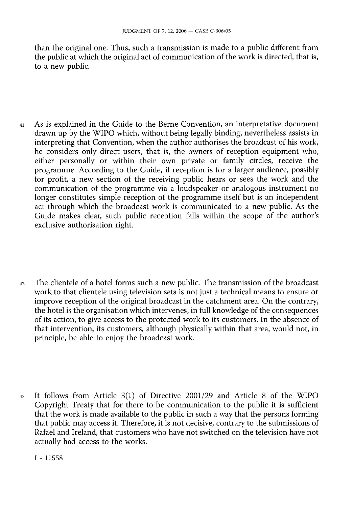than the original one. Thus, such a transmission is made to a public different from the public at which the original act of communication of the work is directed, that is, to a new public.

- <sup>41</sup> As is explained in the Guide to the Berne Convention, an interpretative document drawn up by the WIPO which, without being legally binding, nevertheless assists in interpreting that Convention, when the author authorises the broadcast of his work, he considers only direct users, that is, the owners of reception equipment who, either personally or within their own private or family circles, receive the programme. According to the Guide, if reception is for a larger audience, possibly for profit, a new section of the receiving public hears or sees the work and the communication of the programme via a loudspeaker or analogous instrument no longer constitutes simple reception of the programme itself but is an independent act through which the broadcast work is communicated to a new public. As the Guide makes clear, such public reception falls within the scope of the author's exclusive authorisation right.
- <sup>42</sup> The clientele of a hotel forms such a new public. The transmission of the broadcast work to that clientele using television sets is not just a technical means to ensure or improve reception of the original broadcast in the catchment area. On the contrary, the hotel is the organisation which intervenes, in full knowledge of the consequences of its action, to give access to the protected work to its customers. In the absence of that intervention, its customers, although physically within that area, would not, in principle, be able to enjoy the broadcast work.
- <sup>43</sup> It follows from Article 3(1) of Directive 2001/29 and Article 8 of the WIPO Copyright Treaty that for there to be communication to the public it is sufficient that the work is made available to the public in such a way that the persons forming that public may access it. Therefore, it is not decisive, contrary to the submissions of Rafael and Ireland, that customers who have not switched on the television have not actually had access to the works.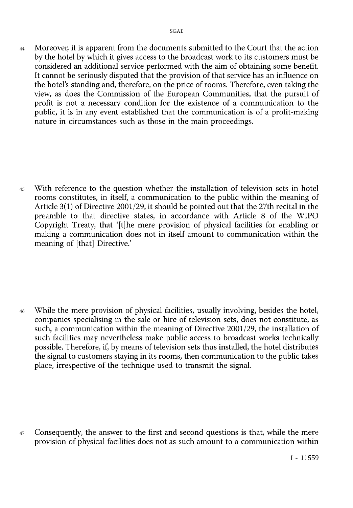<sup>44</sup> Moreover, it is apparent from the documents submitted to the Court that the action by the hotel by which it gives access to the broadcast work to its customers must be considered an additional service performed with the aim of obtaining some benefit. It cannot be seriously disputed that the provision of that service has an influence on the hotel's standing and, therefore, on the price of rooms. Therefore, even taking the view, as does the Commission of the European Communities, that the pursuit of profit is not a necessary condition for the existence of a communication to the public, it is in any event established that the communication is of <sup>a</sup> profit-making nature in circumstances such as those in the main proceedings.

<sup>45</sup> With reference to the question whether the installation of television sets in hotel rooms constitutes, in itself, a communication to the public within the meaning of Article 3(1) of Directive 2001/29, it should be pointed out that the 27th recital in the preamble to that directive states, in accordance with Article 8 of the WIPO Copyright Treaty, that '[t]he mere provision of physical facilities for enabling or making a communication does not in itself amount to communication within the meaning of [that] Directive.'

<sup>46</sup> While the mere provision of physical facilities, usually involving, besides the hotel, companies specialising in the sale or hire of television sets, does not constitute, as such, a communication within the meaning of Directive 2001/29, the installation of such facilities may nevertheless make public access to broadcast works technically possible. Therefore, if, by means of television sets thus installed, the hotel distributes the signal to customers staying in its rooms, then communication to the public takes place, irrespective of the technique used to transmit the signal.

<sup>47</sup> Consequently, the answer to the first and second questions is that, while the mere provision of physical facilities does not as such amount to a communication within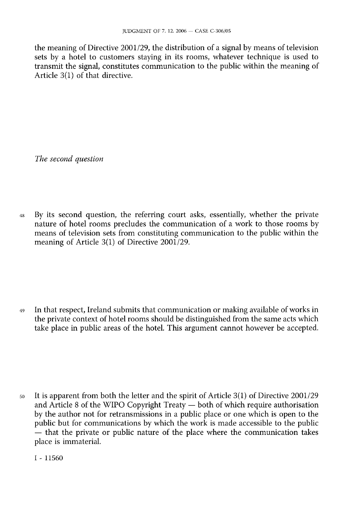the meaning of Directive 2001/29, the distribution of a signal by means of television sets by a hotel to customers staying in its rooms, whatever technique is used to transmit the signal, constitutes communication to the public within the meaning of Article 3(1) of that directive.

*The second question*

<sup>48</sup> By its second question, the referring court asks, essentially, whether the private nature of hotel rooms precludes the communication of a work to those rooms by means of television sets from constituting communication to the public within the meaning of Article 3(1) of Directive 2001/29.

<sup>49</sup> In that respect, Ireland submits that communication or making available of works in the private context of hotel rooms should be distinguished from the same acts which take place in public areas of the hotel. This argument cannot however be accepted.

<sup>50</sup> It is apparent from both the letter and the spirit of Article 3(1) of Directive 2001/29 and Article 8 of the WIPO Copyright Treaty — both of which require authorisation by the author not for retransmissions in a public place or one which is open to the public but for communications by which the work is made accessible to the public — that the private or public nature of the place where the communication takes place is immaterial.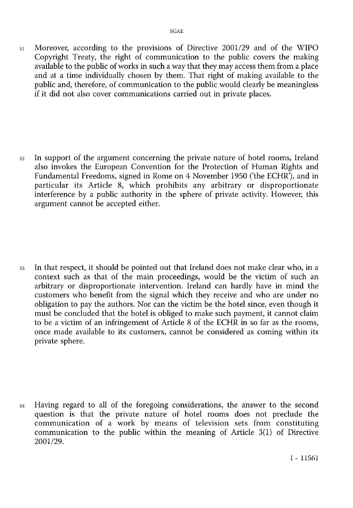<sup>51</sup> Moreover, according to the provisions of Directive 2001/29 and of the WIPO Copyright Treaty, the right of communication to the public covers the making available to the public of works in such a way that they may access them from a place and at a time individually chosen by them. That right of making available to the public and, therefore, of communication to the public would clearly be meaningless if it did not also cover communications carried out in private places.

<sup>52</sup> In support of the argument concerning the private nature of hotel rooms, Ireland also invokes the European Convention for the Protection of Human Rights and Fundamental Freedoms, signed in Rome on 4 November 1950 ('the ECHR'), and in particular its Article 8, which prohibits any arbitrary or disproportionate interference by a public authority in the sphere of private activity. However, this argument cannot be accepted either.

<sup>53</sup> In that respect, it should be pointed out that Ireland does not make clear who, in <sup>a</sup> context such as that of the main proceedings, would be the victim of such an arbitrary or disproportionate intervention. Ireland can hardly have in mind the customers who benefit from the signal which they receive and who are under no obligation to pay the authors. Nor can the victim be the hotel since, even though it must be concluded that the hotel is obliged to make such payment, it cannot claim to be a victim of an infringement of Article 8 of the ECHR in so far as the rooms, once made available to its customers, cannot be considered as coming within its private sphere.

<sup>54</sup> Having regard to all of the foregoing considerations, the answer to the second question is that the private nature of hotel rooms does not preclude the communication of a work by means of television sets from constituting communication to the public within the meaning of Article 3(1) of Directive 2001/29.